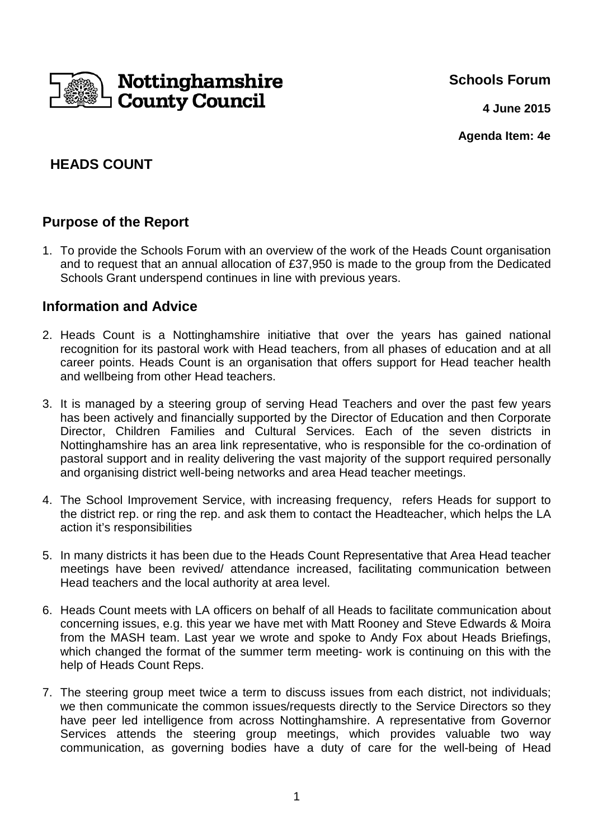

**Schools Forum**

**4 June 2015**

**Agenda Item: 4e**

# **HEADS COUNT**

## **Purpose of the Report**

1. To provide the Schools Forum with an overview of the work of the Heads Count organisation and to request that an annual allocation of £37,950 is made to the group from the Dedicated Schools Grant underspend continues in line with previous years.

## **Information and Advice**

- 2. Heads Count is a Nottinghamshire initiative that over the years has gained national recognition for its pastoral work with Head teachers, from all phases of education and at all career points. Heads Count is an organisation that offers support for Head teacher health and wellbeing from other Head teachers.
- 3. It is managed by a steering group of serving Head Teachers and over the past few years has been actively and financially supported by the Director of Education and then Corporate Director, Children Families and Cultural Services. Each of the seven districts in Nottinghamshire has an area link representative, who is responsible for the co-ordination of pastoral support and in reality delivering the vast majority of the support required personally and organising district well-being networks and area Head teacher meetings.
- 4. The School Improvement Service, with increasing frequency, refers Heads for support to the district rep. or ring the rep. and ask them to contact the Headteacher, which helps the LA action it's responsibilities
- 5. In many districts it has been due to the Heads Count Representative that Area Head teacher meetings have been revived/ attendance increased, facilitating communication between Head teachers and the local authority at area level.
- 6. Heads Count meets with LA officers on behalf of all Heads to facilitate communication about concerning issues, e.g. this year we have met with Matt Rooney and Steve Edwards & Moira from the MASH team. Last year we wrote and spoke to Andy Fox about Heads Briefings, which changed the format of the summer term meeting- work is continuing on this with the help of Heads Count Reps.
- 7. The steering group meet twice a term to discuss issues from each district, not individuals; we then communicate the common issues/requests directly to the Service Directors so they have peer led intelligence from across Nottinghamshire. A representative from Governor Services attends the steering group meetings, which provides valuable two way communication, as governing bodies have a duty of care for the well-being of Head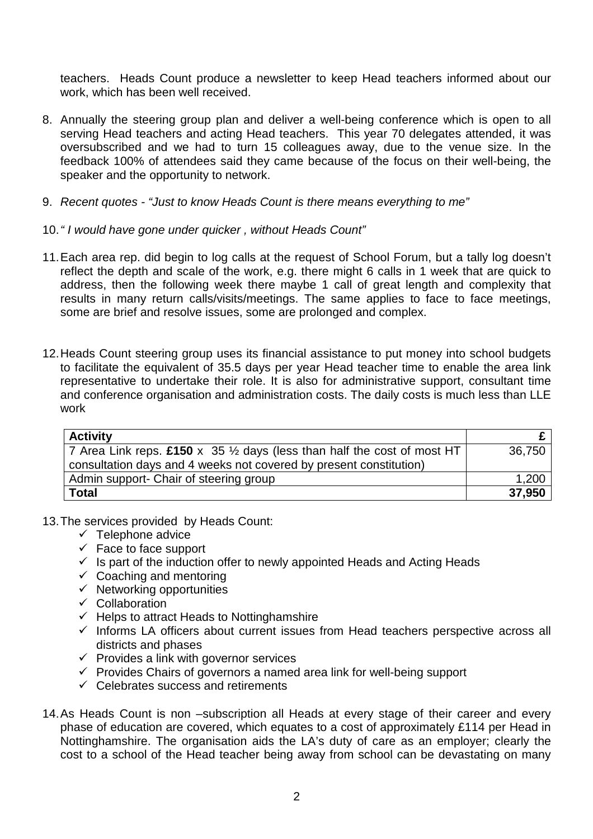teachers. Heads Count produce a newsletter to keep Head teachers informed about our work, which has been well received.

- 8. Annually the steering group plan and deliver a well-being conference which is open to all serving Head teachers and acting Head teachers. This year 70 delegates attended, it was oversubscribed and we had to turn 15 colleagues away, due to the venue size. In the feedback 100% of attendees said they came because of the focus on their well-being, the speaker and the opportunity to network.
- 9. Recent quotes "Just to know Heads Count is there means everything to me"
- 10. " I would have gone under quicker , without Heads Count"
- 11. Each area rep. did begin to log calls at the request of School Forum, but a tally log doesn't reflect the depth and scale of the work, e.g. there might 6 calls in 1 week that are quick to address, then the following week there maybe 1 call of great length and complexity that results in many return calls/visits/meetings. The same applies to face to face meetings, some are brief and resolve issues, some are prolonged and complex.
- 12. Heads Count steering group uses its financial assistance to put money into school budgets to facilitate the equivalent of 35.5 days per year Head teacher time to enable the area link representative to undertake their role. It is also for administrative support, consultant time and conference organisation and administration costs. The daily costs is much less than LLE work

| <b>Activity</b>                                                                    |        |
|------------------------------------------------------------------------------------|--------|
| 7 Area Link reps. £150 x 35 $\frac{1}{2}$ days (less than half the cost of most HT | 36.750 |
| consultation days and 4 weeks not covered by present constitution)                 |        |
| Admin support- Chair of steering group                                             | 1,200  |
| <b>Total</b>                                                                       | 37,950 |

- 13. The services provided by Heads Count:
	- $\checkmark$  Telephone advice
	- $\checkmark$  Face to face support
	- $\checkmark$  Is part of the induction offer to newly appointed Heads and Acting Heads
	- $\checkmark$  Coaching and mentoring
	- $\checkmark$  Networking opportunities
	- $\checkmark$  Collaboration
	- $\checkmark$  Helps to attract Heads to Nottinghamshire
	- $\checkmark$  Informs LA officers about current issues from Head teachers perspective across all districts and phases
	- $\checkmark$  Provides a link with governor services
	- $\checkmark$  Provides Chairs of governors a named area link for well-being support
	- $\checkmark$  Celebrates success and retirements
- 14. As Heads Count is non –subscription all Heads at every stage of their career and every phase of education are covered, which equates to a cost of approximately £114 per Head in Nottinghamshire. The organisation aids the LA's duty of care as an employer; clearly the cost to a school of the Head teacher being away from school can be devastating on many